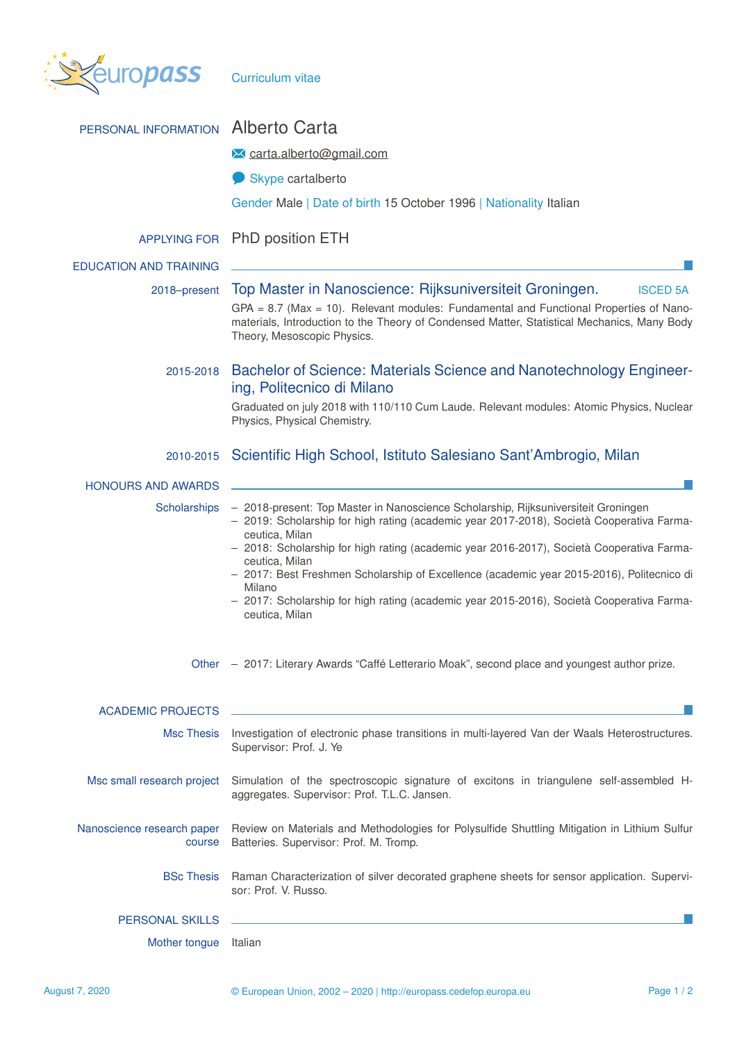

| PERSONAL INFORMATION                 | <b>Alberto Carta</b>                                                                                                                                                                                                                                                                                                                                                                                                                                                                                                                   |  |  |  |  |
|--------------------------------------|----------------------------------------------------------------------------------------------------------------------------------------------------------------------------------------------------------------------------------------------------------------------------------------------------------------------------------------------------------------------------------------------------------------------------------------------------------------------------------------------------------------------------------------|--|--|--|--|
|                                      | <u><b>X</b></u> carta.alberto@gmail.com                                                                                                                                                                                                                                                                                                                                                                                                                                                                                                |  |  |  |  |
|                                      | Skype cartalberto                                                                                                                                                                                                                                                                                                                                                                                                                                                                                                                      |  |  |  |  |
|                                      | Gender Male   Date of birth 15 October 1996   Nationality Italian                                                                                                                                                                                                                                                                                                                                                                                                                                                                      |  |  |  |  |
| <b>APPLYING FOR</b>                  | <b>PhD position ETH</b>                                                                                                                                                                                                                                                                                                                                                                                                                                                                                                                |  |  |  |  |
| <b>EDUCATION AND TRAINING</b>        |                                                                                                                                                                                                                                                                                                                                                                                                                                                                                                                                        |  |  |  |  |
| 2018-present                         | Top Master in Nanoscience: Rijksuniversiteit Groningen.<br><b>ISCED 5A</b>                                                                                                                                                                                                                                                                                                                                                                                                                                                             |  |  |  |  |
|                                      | $GPA = 8.7$ (Max = 10). Relevant modules: Fundamental and Functional Properties of Nano-<br>materials, Introduction to the Theory of Condensed Matter, Statistical Mechanics, Many Body<br>Theory, Mesoscopic Physics.                                                                                                                                                                                                                                                                                                                 |  |  |  |  |
| 2015-2018                            | Bachelor of Science: Materials Science and Nanotechnology Engineer-<br>ing, Politecnico di Milano                                                                                                                                                                                                                                                                                                                                                                                                                                      |  |  |  |  |
|                                      | Graduated on july 2018 with 110/110 Cum Laude. Relevant modules: Atomic Physics, Nuclear<br>Physics, Physical Chemistry.                                                                                                                                                                                                                                                                                                                                                                                                               |  |  |  |  |
| 2010-2015                            | Scientific High School, Istituto Salesiano Sant'Ambrogio, Milan                                                                                                                                                                                                                                                                                                                                                                                                                                                                        |  |  |  |  |
| <b>HONOURS AND AWARDS</b>            |                                                                                                                                                                                                                                                                                                                                                                                                                                                                                                                                        |  |  |  |  |
| Scholarships                         | - 2018-present: Top Master in Nanoscience Scholarship, Rijksuniversiteit Groningen<br>- 2019: Scholarship for high rating (academic year 2017-2018), Società Cooperativa Farma-<br>ceutica, Milan<br>- 2018: Scholarship for high rating (academic year 2016-2017), Società Cooperativa Farma-<br>ceutica, Milan<br>- 2017: Best Freshmen Scholarship of Excellence (academic year 2015-2016), Politecnico di<br>Milano<br>- 2017: Scholarship for high rating (academic year 2015-2016), Società Cooperativa Farma-<br>ceutica, Milan |  |  |  |  |
|                                      | Other - 2017: Literary Awards "Caffé Letterario Moak", second place and youngest author prize.                                                                                                                                                                                                                                                                                                                                                                                                                                         |  |  |  |  |
| <b>ACADEMIC PROJECTS</b>             |                                                                                                                                                                                                                                                                                                                                                                                                                                                                                                                                        |  |  |  |  |
| <b>Msc Thesis</b>                    | Investigation of electronic phase transitions in multi-layered Van der Waals Heterostructures.<br>Supervisor: Prof. J. Ye                                                                                                                                                                                                                                                                                                                                                                                                              |  |  |  |  |
| Msc small research project           | Simulation of the spectroscopic signature of excitons in triangulene self-assembled H-<br>aggregates. Supervisor: Prof. T.L.C. Jansen.                                                                                                                                                                                                                                                                                                                                                                                                 |  |  |  |  |
| Nanoscience research paper<br>course | Review on Materials and Methodologies for Polysulfide Shuttling Mitigation in Lithium Sulfur<br>Batteries. Supervisor: Prof. M. Tromp.                                                                                                                                                                                                                                                                                                                                                                                                 |  |  |  |  |
| <b>BSc Thesis</b>                    | Raman Characterization of silver decorated graphene sheets for sensor application. Supervi-<br>sor: Prof. V. Russo.                                                                                                                                                                                                                                                                                                                                                                                                                    |  |  |  |  |
| <b>PERSONAL SKILLS</b>               |                                                                                                                                                                                                                                                                                                                                                                                                                                                                                                                                        |  |  |  |  |
| Mother tongue                        | Italian                                                                                                                                                                                                                                                                                                                                                                                                                                                                                                                                |  |  |  |  |